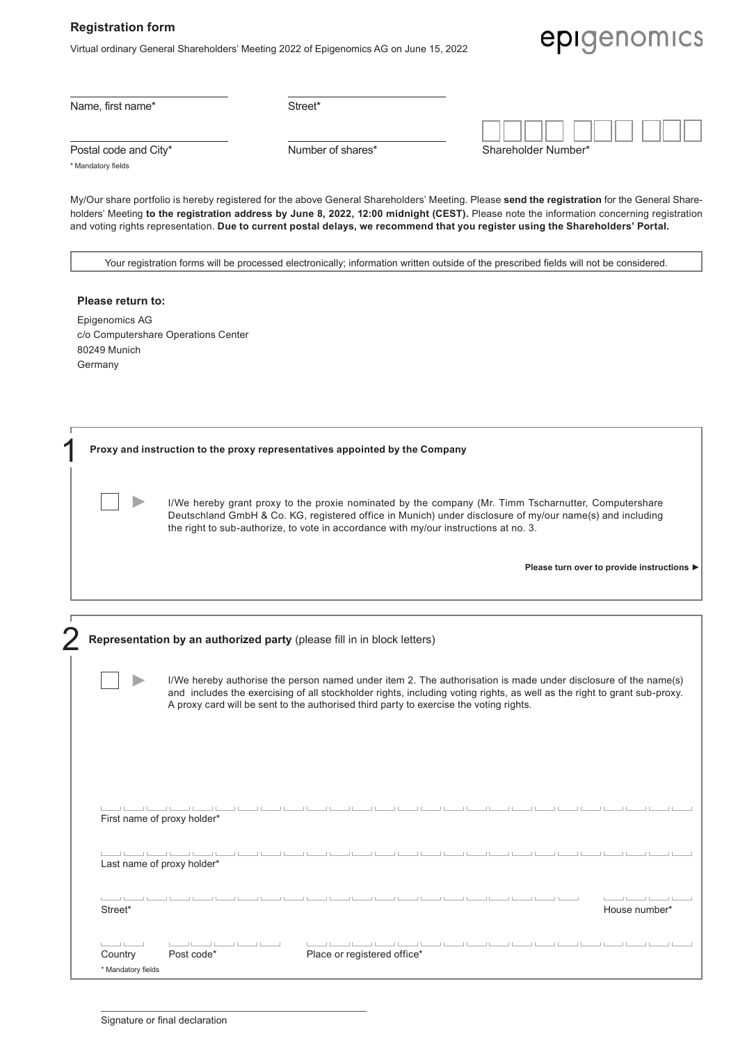## **Registration form**

Virtual ordinary General Shareholders' Meeting 2022 of Epigenomics AG on June 15, 2022

## epigenomics

Name, first name\* Street\*

| Postal code and City' |  |
|-----------------------|--|
|                       |  |

Postal code and City\* The Shareholder Number of shares\* Shareholder Shareholder Number of shareholder Number of Shareholder Shareholder Shareholder Shareholder Shareholder Shareholder Shareholder Shareholder Shareholder Sh

| hareholder Number* |  |  |  |  |  |  |  |  |  |  |  |
|--------------------|--|--|--|--|--|--|--|--|--|--|--|

\* Mandatory fields

My/Our share portfolio is hereby registered for the above General Shareholders' Meeting. Please **send the registration** for the General Shareholders' Meeting **to the registration address by June 8, 2022, 12:00 midnight (CEST).** Please note the information concerning registration and voting rights representation. **Due to current postal delays, we recommend that you register using the Shareholders' Portal.**

Your registration forms will be processed electronically; information written outside of the prescribed fields will not be considered.

| Please return to:                   |  |  |  |  |
|-------------------------------------|--|--|--|--|
| Epigenomics AG                      |  |  |  |  |
| c/o Computershare Operations Center |  |  |  |  |
| 80249 Munich                        |  |  |  |  |
| Germany                             |  |  |  |  |

| Proxy and instruction to the proxy representatives appointed by the Company                                                                                                                                                                                                                                                                                                                                                                                                                                               |  |  |  |
|---------------------------------------------------------------------------------------------------------------------------------------------------------------------------------------------------------------------------------------------------------------------------------------------------------------------------------------------------------------------------------------------------------------------------------------------------------------------------------------------------------------------------|--|--|--|
| I/We hereby grant proxy to the proxie nominated by the company (Mr. Timm Tscharnutter, Computershare<br>Deutschland GmbH & Co. KG, registered office in Munich) under disclosure of my/our name(s) and including<br>the right to sub-authorize, to vote in accordance with my/our instructions at no. 3.                                                                                                                                                                                                                  |  |  |  |
| Please turn over to provide instructions ▶                                                                                                                                                                                                                                                                                                                                                                                                                                                                                |  |  |  |
| Representation by an authorized party (please fill in in block letters)                                                                                                                                                                                                                                                                                                                                                                                                                                                   |  |  |  |
| I/We hereby authorise the person named under item 2. The authorisation is made under disclosure of the name(s)<br>and includes the exercising of all stockholder rights, including voting rights, as well as the right to grant sub-proxy.<br>A proxy card will be sent to the authorised third party to exercise the voting rights.                                                                                                                                                                                      |  |  |  |
| First name of proxy holder*                                                                                                                                                                                                                                                                                                                                                                                                                                                                                               |  |  |  |
| $11 - 11 - 11$<br>Last name of proxy holder*                                                                                                                                                                                                                                                                                                                                                                                                                                                                              |  |  |  |
| $\begin{tabular}{c} \hline \quad \quad & \quad \quad & \quad \quad \\ \hline \end{tabular}$<br>Street*<br>House number*                                                                                                                                                                                                                                                                                                                                                                                                   |  |  |  |
| $\begin{tabular}{ccccc} \textbf{L} & \textbf{L} & \textbf{L} & \textbf{L} & \textbf{L} & \textbf{L} & \textbf{L} & \textbf{L} & \textbf{L} & \textbf{L} & \textbf{L} & \textbf{L} & \textbf{L} & \textbf{L} & \textbf{L} & \textbf{L} & \textbf{L} & \textbf{L} & \textbf{L} & \textbf{L} & \textbf{L} & \textbf{L} & \textbf{L} & \textbf{L} & \textbf{L} & \textbf{L} & \textbf{L} & \textbf{L} & \textbf{L} & \textbf{L} & \$<br>$\pm 1$<br>Place or registered office*<br>Post code*<br>Country<br>* Mandatory fields |  |  |  |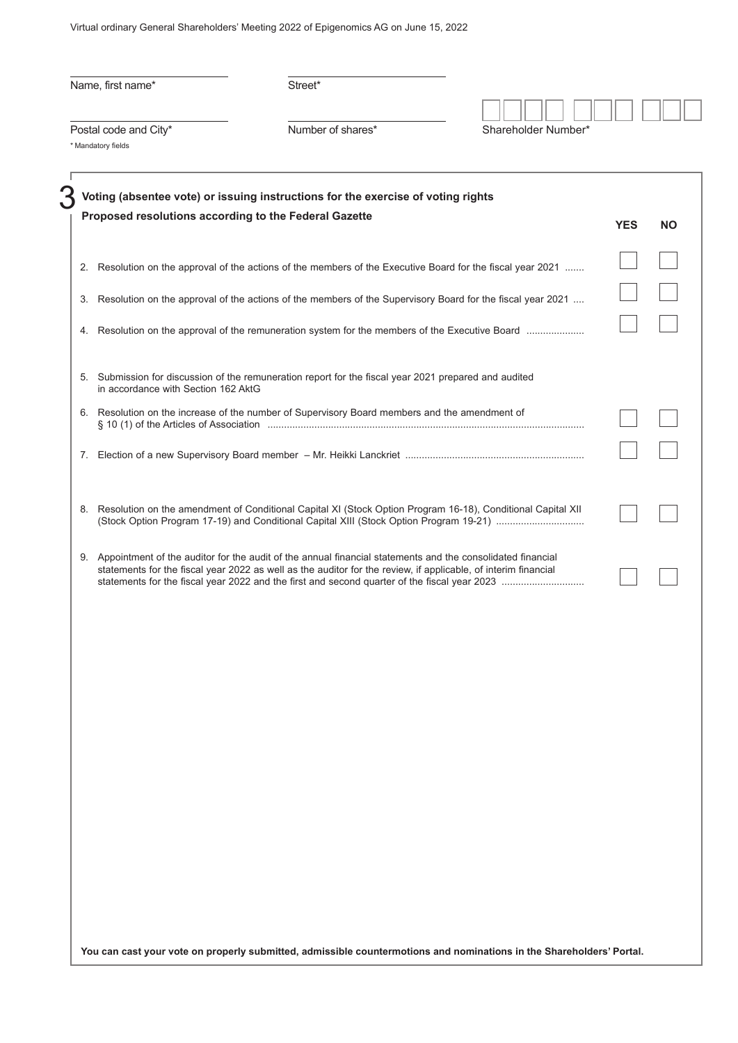Virtual ordinary General Shareholders' Meeting 2022 of Epigenomics AG on June 15, 2022

| Name, first name*                           |                                                                                                                                                                                                                                 |                     |            |    |
|---------------------------------------------|---------------------------------------------------------------------------------------------------------------------------------------------------------------------------------------------------------------------------------|---------------------|------------|----|
| Postal code and City*<br>* Mandatory fields | Number of shares*                                                                                                                                                                                                               | Shareholder Number* |            |    |
|                                             | Voting (absentee vote) or issuing instructions for the exercise of voting rights                                                                                                                                                |                     |            |    |
|                                             | Proposed resolutions according to the Federal Gazette                                                                                                                                                                           |                     | <b>YES</b> | ΝO |
|                                             | 2. Resolution on the approval of the actions of the members of the Executive Board for the fiscal year 2021                                                                                                                     |                     |            |    |
|                                             | 3. Resolution on the approval of the actions of the members of the Supervisory Board for the fiscal year 2021                                                                                                                   |                     |            |    |
|                                             | 4. Resolution on the approval of the remuneration system for the members of the Executive Board                                                                                                                                 |                     |            |    |
| in accordance with Section 162 AktG         | 5. Submission for discussion of the remuneration report for the fiscal year 2021 prepared and audited                                                                                                                           |                     |            |    |
|                                             | 6. Resolution on the increase of the number of Supervisory Board members and the amendment of                                                                                                                                   |                     |            |    |
| 7.                                          |                                                                                                                                                                                                                                 |                     |            |    |
|                                             | 8. Resolution on the amendment of Conditional Capital XI (Stock Option Program 16-18), Conditional Capital XII                                                                                                                  |                     |            |    |
|                                             | 9. Appointment of the auditor for the audit of the annual financial statements and the consolidated financial<br>statements for the fiscal year 2022 as well as the auditor for the review, if applicable, of interim financial |                     |            |    |
|                                             |                                                                                                                                                                                                                                 |                     |            |    |
|                                             |                                                                                                                                                                                                                                 |                     |            |    |
|                                             |                                                                                                                                                                                                                                 |                     |            |    |
|                                             |                                                                                                                                                                                                                                 |                     |            |    |
|                                             |                                                                                                                                                                                                                                 |                     |            |    |
|                                             |                                                                                                                                                                                                                                 |                     |            |    |
|                                             |                                                                                                                                                                                                                                 |                     |            |    |
|                                             |                                                                                                                                                                                                                                 |                     |            |    |
|                                             |                                                                                                                                                                                                                                 |                     |            |    |
|                                             | You can cast your vote on properly submitted, admissible countermotions and nominations in the Shareholders' Portal.                                                                                                            |                     |            |    |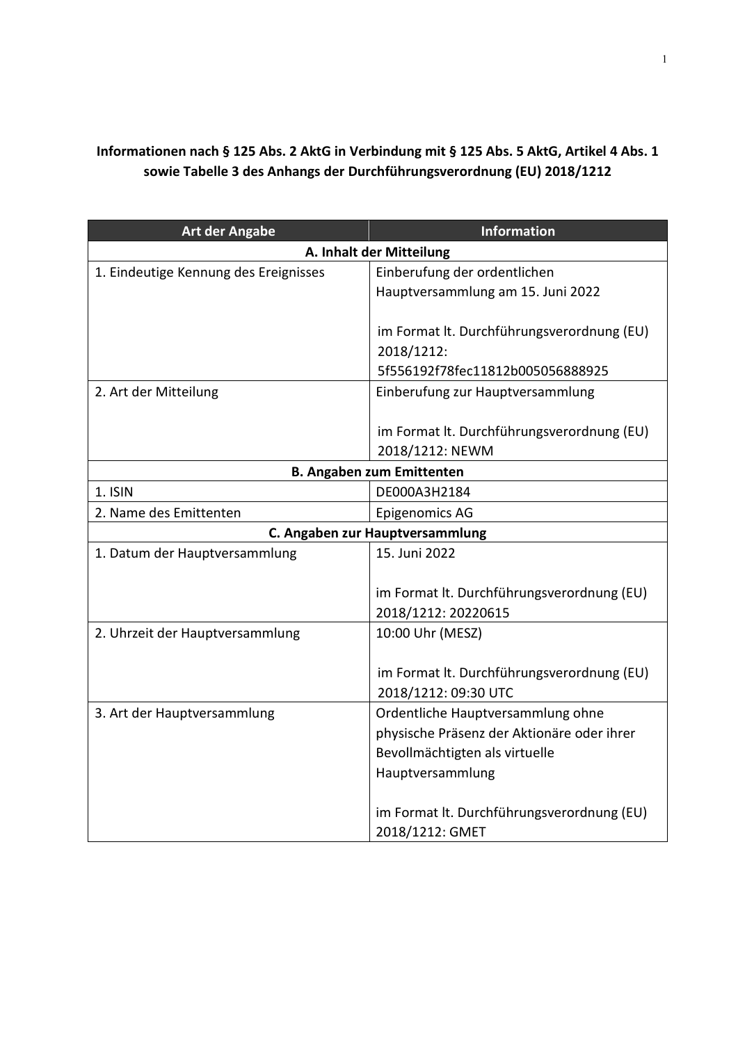## **Informationen nach § 125 Abs. 2 AktG in Verbindung mit § 125 Abs. 5 AktG, Artikel 4 Abs. 1 sowie Tabelle 3 des Anhangs der Durchführungsverordnung (EU) 2018/1212**

| <b>Art der Angabe</b>                 | <b>Information</b>                         |  |  |  |
|---------------------------------------|--------------------------------------------|--|--|--|
| A. Inhalt der Mitteilung              |                                            |  |  |  |
| 1. Eindeutige Kennung des Ereignisses | Einberufung der ordentlichen               |  |  |  |
|                                       | Hauptversammlung am 15. Juni 2022          |  |  |  |
|                                       |                                            |  |  |  |
|                                       | im Format lt. Durchführungsverordnung (EU) |  |  |  |
|                                       | 2018/1212:                                 |  |  |  |
|                                       | 5f556192f78fec11812b005056888925           |  |  |  |
| 2. Art der Mitteilung                 | Einberufung zur Hauptversammlung           |  |  |  |
|                                       |                                            |  |  |  |
|                                       | im Format It. Durchführungsverordnung (EU) |  |  |  |
|                                       | 2018/1212: NEWM                            |  |  |  |
|                                       | <b>B. Angaben zum Emittenten</b>           |  |  |  |
| 1. ISIN                               | DE000A3H2184                               |  |  |  |
| 2. Name des Emittenten                | <b>Epigenomics AG</b>                      |  |  |  |
|                                       | C. Angaben zur Hauptversammlung            |  |  |  |
| 1. Datum der Hauptversammlung         | 15. Juni 2022                              |  |  |  |
|                                       |                                            |  |  |  |
|                                       | im Format It. Durchführungsverordnung (EU) |  |  |  |
|                                       | 2018/1212: 20220615                        |  |  |  |
| 2. Uhrzeit der Hauptversammlung       | 10:00 Uhr (MESZ)                           |  |  |  |
|                                       |                                            |  |  |  |
|                                       | im Format It. Durchführungsverordnung (EU) |  |  |  |
|                                       | 2018/1212: 09:30 UTC                       |  |  |  |
| 3. Art der Hauptversammlung           | Ordentliche Hauptversammlung ohne          |  |  |  |
|                                       | physische Präsenz der Aktionäre oder ihrer |  |  |  |
|                                       | Bevollmächtigten als virtuelle             |  |  |  |
|                                       | Hauptversammlung                           |  |  |  |
|                                       |                                            |  |  |  |
|                                       | im Format It. Durchführungsverordnung (EU) |  |  |  |
|                                       | 2018/1212: GMET                            |  |  |  |